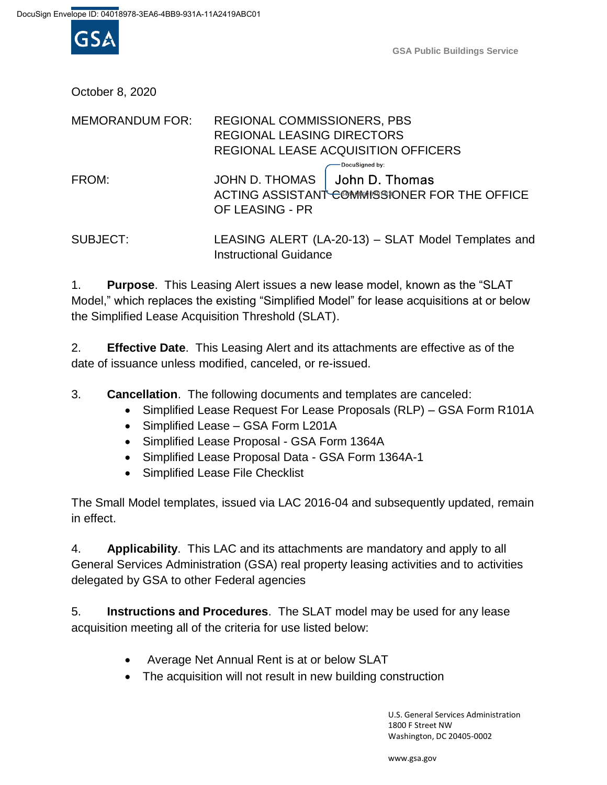

**GSA Public Buildings Service**

October 8, 2020

| <b>MEMORANDUM FOR:</b> | <b>REGIONAL COMMISSIONERS, PBS</b><br><b>REGIONAL LEASING DIRECTORS</b><br>REGIONAL LEASE ACQUISITION OFFICERS       |
|------------------------|----------------------------------------------------------------------------------------------------------------------|
| FROM:                  | DocuSigned by:<br>JOHN D. THOMAS   John D. Thomas<br>ACTING ASSISTANT COMMISSIONER FOR THE OFFICE<br>OF LEASING - PR |
| <b>SUBJECT:</b>        | LEASING ALERT (LA-20-13) - SLAT Model Templates and                                                                  |

1. **Purpose**. This Leasing Alert issues a new lease model, known as the "SLAT Model," which replaces the existing "Simplified Model" for lease acquisitions at or below the Simplified Lease Acquisition Threshold (SLAT).

2. **Effective Date**. This Leasing Alert and its attachments are effective as of the date of issuance unless modified, canceled, or re-issued.

3. **Cancellation**. The following documents and templates are canceled:

Instructional Guidance

- Simplified Lease Request For Lease Proposals (RLP) GSA Form R101A
- Simplified Lease GSA Form L201A
- Simplified Lease Proposal GSA Form 1364A
- Simplified Lease Proposal Data GSA Form 1364A-1
- Simplified Lease File Checklist

The Small Model templates, issued via LAC 2016-04 and subsequently updated, remain in effect.

4. **Applicability**. This LAC and its attachments are mandatory and apply to all General Services Administration (GSA) real property leasing activities and to activities delegated by GSA to other Federal agencies

5. **Instructions and Procedures**. The SLAT model may be used for any lease acquisition meeting all of the criteria for use listed below:

- Average Net Annual Rent is at or below SLAT
- The acquisition will not result in new building construction

U.S. General Services Administration 1800 F Street NW Washington, DC 20405-0002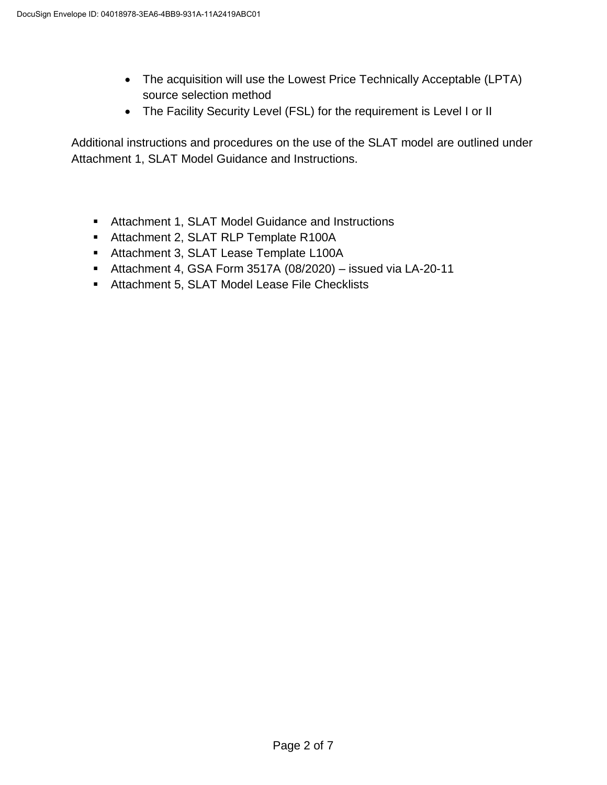- The acquisition will use the Lowest Price Technically Acceptable (LPTA) source selection method
- The Facility Security Level (FSL) for the requirement is Level I or II

Additional instructions and procedures on the use of the SLAT model are outlined under Attachment 1, SLAT Model Guidance and Instructions.

- Attachment 1, SLAT Model Guidance and Instructions
- **Attachment 2, SLAT RLP Template R100A**
- Attachment 3, SLAT Lease Template L100A
- Attachment 4, GSA Form 3517A (08/2020) issued via LA-20-11
- **Attachment 5, SLAT Model Lease File Checklists**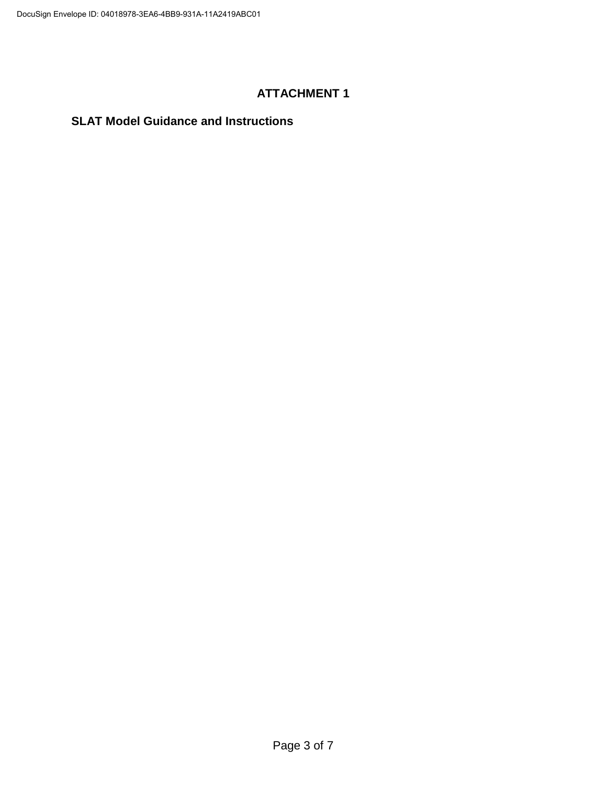### **SLAT Model Guidance and Instructions**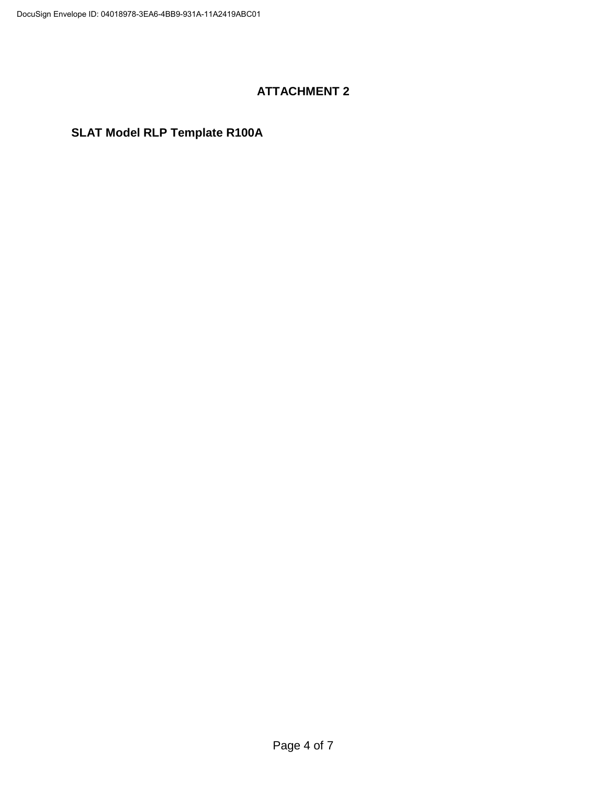# **SLAT Model RLP Template R100A**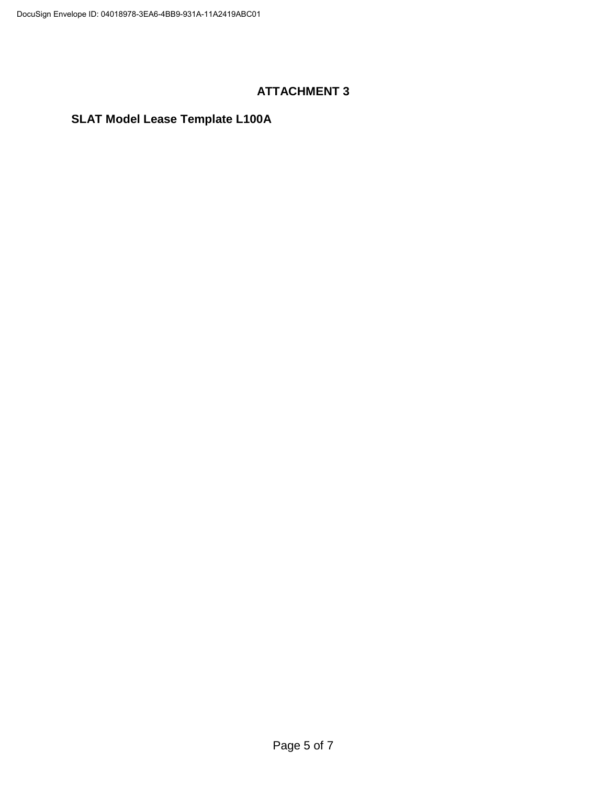# **SLAT Model Lease Template L100A**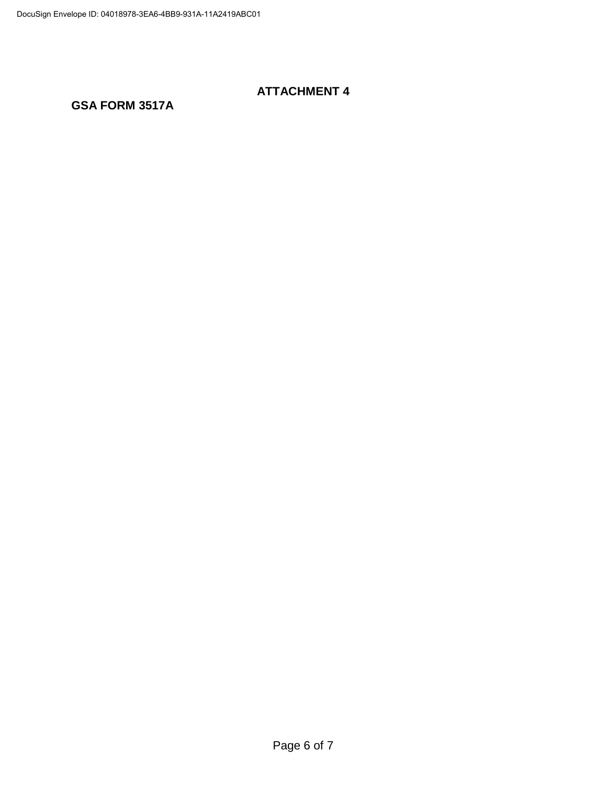### **GSA FORM 3517A**